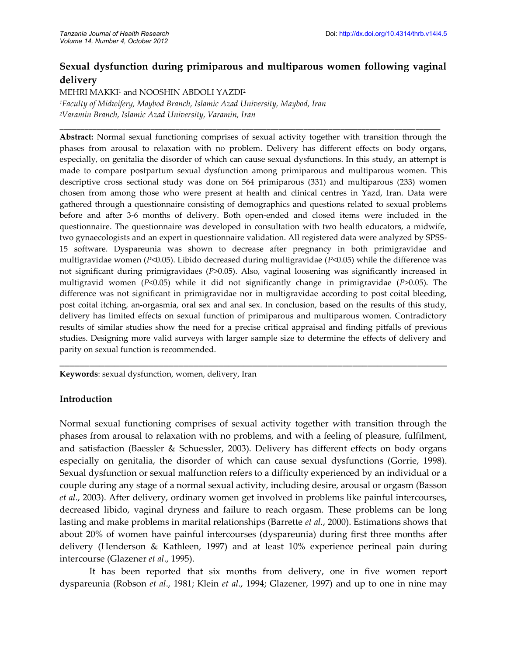# **Sexual dysfunction during primiparous and multiparous women following vaginal delivery**

**\_\_\_\_\_\_\_\_\_\_\_\_\_\_\_\_\_\_\_\_\_\_\_\_\_\_\_\_\_\_\_\_\_\_\_\_\_\_\_\_\_\_\_\_\_\_\_\_\_\_\_\_\_\_\_\_\_\_\_\_\_\_\_\_\_\_\_\_\_\_\_\_\_\_\_\_\_\_\_\_\_\_\_\_\_\_\_\_\_\_\_\_**

MEHRI MAKKI<sup>1</sup> and NOOSHIN ABDOLI YAZDI<sup>2</sup>

*<sup>1</sup>Faculty of Midwifery, Maybod Branch, Islamic Azad University, Maybod, Iran <sup>2</sup>Varamin Branch, Islamic Azad University, Varamin, Iran*

**Abstract:** Normal sexual functioning comprises of sexual activity together with transition through the phases from arousal to relaxation with no problem. Delivery has different effects on body organs, especially, on genitalia the disorder of which can cause sexual dysfunctions. In this study, an attempt is made to compare postpartum sexual dysfunction among primiparous and multiparous women. This descriptive cross sectional study was done on 564 primiparous (331) and multiparous (233) women chosen from among those who were present at health and clinical centres in Yazd, Iran. Data were gathered through a questionnaire consisting of demographics and questions related to sexual problems before and after 3-6 months of delivery. Both open-ended and closed items were included in the questionnaire. The questionnaire was developed in consultation with two health educators, a midwife, two gynaecologists and an expert in questionnaire validation. All registered data were analyzed by SPSS-15 software. Dyspareunia was shown to decrease after pregnancy in both primigravidae and multigravidae women (*P*<0.05). Libido decreased during multigravidae (*P*<0.05) while the difference was not significant during primigravidaes (*P*>0.05). Also, vaginal loosening was significantly increased in multigravid women (*P*<0.05) while it did not significantly change in primigravidae (*P*>0.05). The difference was not significant in primigravidae nor in multigravidae according to post coital bleeding, post coital itching, an-orgasmia, oral sex and anal sex. In conclusion, based on the results of this study, delivery has limited effects on sexual function of primiparous and multiparous women. Contradictory results of similar studies show the need for a precise critical appraisal and finding pitfalls of previous studies. Designing more valid surveys with larger sample size to determine the effects of delivery and parity on sexual function is recommended.

\_\_\_\_\_\_\_\_\_\_\_\_\_\_\_\_\_\_\_\_\_\_\_\_\_\_\_\_\_\_\_\_\_\_\_\_\_\_\_\_\_\_\_\_\_\_\_\_\_\_\_\_\_\_\_\_\_\_\_\_\_\_\_\_\_\_\_\_\_\_\_\_\_\_\_\_\_\_

**Keywords**: sexual dysfunction, women, delivery, Iran

# **Introduction**

Normal sexual functioning comprises of sexual activity together with transition through the phases from arousal to relaxation with no problems, and with a feeling of pleasure, fulfilment, and satisfaction (Baessler & Schuessler, 2003). Delivery has different effects on body organs especially on genitalia, the disorder of which can cause sexual dysfunctions (Gorrie, 1998). Sexual dysfunction or sexual malfunction refers to a difficulty experienced by an individual or a couple during any stage of a normal sexual activity, including desire, arousal or orgasm (Basson *et al*., 2003). After delivery, ordinary women get involved in problems like painful intercourses, decreased libido, vaginal dryness and failure to reach orgasm. These problems can be long lasting and make problems in marital relationships (Barrette *et al.*, 2000). Estimations shows that about 20% of women have painful intercourses (dyspareunia) during first three months after delivery (Henderson & Kathleen, 1997) and at least 10% experience perineal pain during intercourse (Glazener *et al*., 1995).

It has been reported that six months from delivery, one in five women report dyspareunia (Robson *et al*., 1981; Klein *et al*., 1994; Glazener, 1997) and up to one in nine may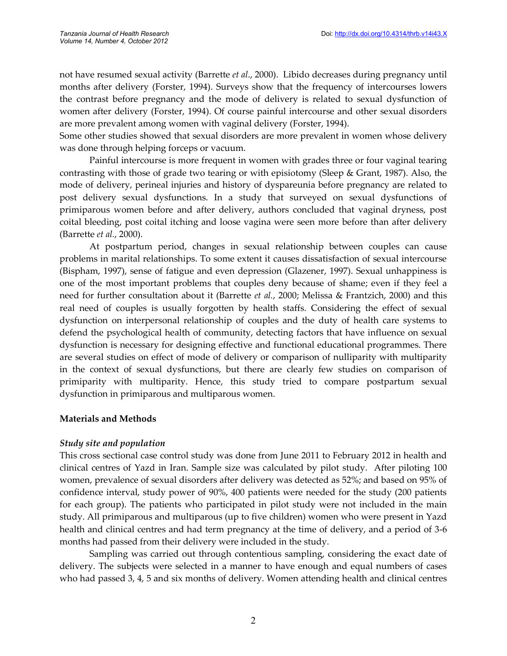not have resumed sexual activity (Barrette *et al*., 2000). Libido decreases during pregnancy until months after delivery (Forster, 1994). Surveys show that the frequency of intercourses lowers the contrast before pregnancy and the mode of delivery is related to sexual dysfunction of women after delivery (Forster, 1994). Of course painful intercourse and other sexual disorders are more prevalent among women with vaginal delivery (Forster, 1994).

Some other studies showed that sexual disorders are more prevalent in women whose delivery was done through helping forceps or vacuum.

Painful intercourse is more frequent in women with grades three or four vaginal tearing contrasting with those of grade two tearing or with episiotomy (Sleep & Grant, 1987). Also, the mode of delivery, perineal injuries and history of dyspareunia before pregnancy are related to post delivery sexual dysfunctions. In a study that surveyed on sexual dysfunctions of primiparous women before and after delivery, authors concluded that vaginal dryness, post coital bleeding, post coital itching and loose vagina were seen more before than after delivery (Barrette *et al.*, 2000).

At postpartum period, changes in sexual relationship between couples can cause problems in marital relationships. To some extent it causes dissatisfaction of sexual intercourse (Bispham, 1997), sense of fatigue and even depression (Glazener, 1997). Sexual unhappiness is one of the most important problems that couples deny because of shame; even if they feel a need for further consultation about it (Barrette *et al.*, 2000; Melissa & Frantzich, 2000) and this real need of couples is usually forgotten by health staffs. Considering the effect of sexual dysfunction on interpersonal relationship of couples and the duty of health care systems to defend the psychological health of community, detecting factors that have influence on sexual dysfunction is necessary for designing effective and functional educational programmes. There are several studies on effect of mode of delivery or comparison of nulliparity with multiparity in the context of sexual dysfunctions, but there are clearly few studies on comparison of primiparity with multiparity. Hence, this study tried to compare postpartum sexual dysfunction in primiparous and multiparous women.

# **Materials and Methods**

# *Study site and population*

This cross sectional case control study was done from June 2011 to February 2012 in health and clinical centres of Yazd in Iran. Sample size was calculated by pilot study. After piloting 100 women, prevalence of sexual disorders after delivery was detected as 52%; and based on 95% of confidence interval, study power of 90%, 400 patients were needed for the study (200 patients for each group). The patients who participated in pilot study were not included in the main study. All primiparous and multiparous (up to five children) women who were present in Yazd health and clinical centres and had term pregnancy at the time of delivery, and a period of 3-6 months had passed from their delivery were included in the study.

Sampling was carried out through contentious sampling, considering the exact date of delivery. The subjects were selected in a manner to have enough and equal numbers of cases who had passed 3, 4, 5 and six months of delivery. Women attending health and clinical centres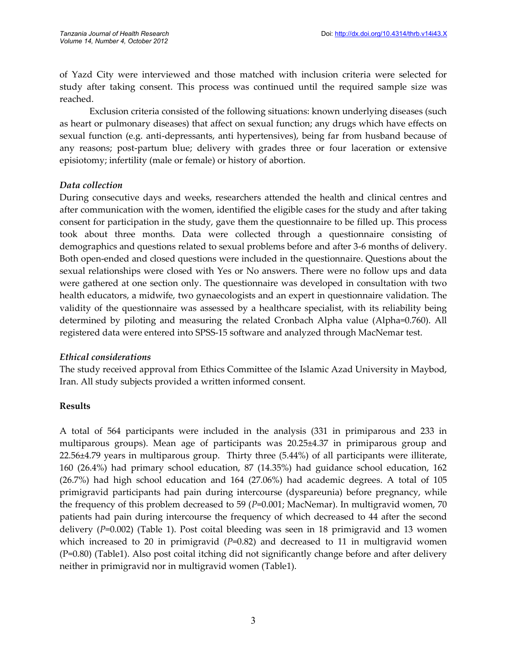of Yazd City were interviewed and those matched with inclusion criteria were selected for study after taking consent. This process was continued until the required sample size was reached.

Exclusion criteria consisted of the following situations: known underlying diseases (such as heart or pulmonary diseases) that affect on sexual function; any drugs which have effects on sexual function (e.g. anti-depressants, anti hypertensives), being far from husband because of any reasons; post-partum blue; delivery with grades three or four laceration or extensive episiotomy; infertility (male or female) or history of abortion.

# *Data collection*

During consecutive days and weeks, researchers attended the health and clinical centres and after communication with the women, identified the eligible cases for the study and after taking consent for participation in the study, gave them the questionnaire to be filled up. This process took about three months. Data were collected through a questionnaire consisting of demographics and questions related to sexual problems before and after 3-6 months of delivery. Both open-ended and closed questions were included in the questionnaire. Questions about the sexual relationships were closed with Yes or No answers. There were no follow ups and data were gathered at one section only. The questionnaire was developed in consultation with two health educators, a midwife, two gynaecologists and an expert in questionnaire validation. The validity of the questionnaire was assessed by a healthcare specialist, with its reliability being determined by piloting and measuring the related Cronbach Alpha value (Alpha=0.760). All registered data were entered into SPSS-15 software and analyzed through MacNemar test.

# *Ethical considerations*

The study received approval from Ethics Committee of the Islamic Azad University in Maybod, Iran. All study subjects provided a written informed consent.

# **Results**

A total of 564 participants were included in the analysis (331 in primiparous and 233 in multiparous groups). Mean age of participants was 20.25±4.37 in primiparous group and 22.56±4.79 years in multiparous group. Thirty three (5.44%) of all participants were illiterate, 160 (26.4%) had primary school education, 87 (14.35%) had guidance school education, 162 (26.7%) had high school education and 164 (27.06%) had academic degrees. A total of 105 primigravid participants had pain during intercourse (dyspareunia) before pregnancy, while the frequency of this problem decreased to 59 (*P*=0.001; MacNemar). In multigravid women, 70 patients had pain during intercourse the frequency of which decreased to 44 after the second delivery (*P*=0.002) (Table 1). Post coital bleeding was seen in 18 primigravid and 13 women which increased to 20 in primigravid (P=0.82) and decreased to 11 in multigravid women (P=0.80) (Table1). Also post coital itching did not significantly change before and after delivery neither in primigravid nor in multigravid women (Table1).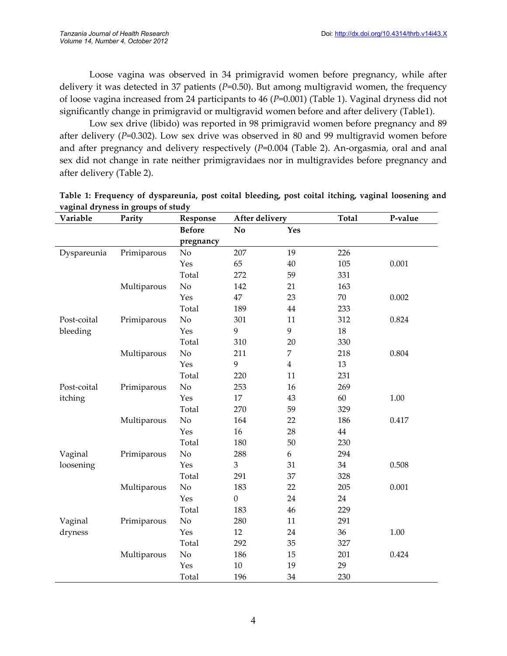Loose vagina was observed in 34 primigravid women before pregnancy, while after delivery it was detected in 37 patients (*P*=0.50). But among multigravid women, the frequency of loose vagina increased from 24 participants to 46 (*P*=0.001) (Table 1). Vaginal dryness did not significantly change in primigravid or multigravid women before and after delivery (Table1).

Low sex drive (libido) was reported in 98 primigravid women before pregnancy and 89 after delivery (*P*=0.302). Low sex drive was observed in 80 and 99 multigravid women before and after pregnancy and delivery respectively (*P*=0.004 (Table 2). An-orgasmia, oral and anal sex did not change in rate neither primigravidaes nor in multigravides before pregnancy and after delivery (Table 2).

| Variable    | Parity      | Response      | After delivery         |                  | <b>Total</b> | P-value |
|-------------|-------------|---------------|------------------------|------------------|--------------|---------|
|             |             | <b>Before</b> | $\mathbf{N}\mathbf{o}$ | Yes              |              |         |
|             |             | pregnancy     |                        |                  |              |         |
| Dyspareunia | Primiparous | No            | 207                    | 19               | 226          |         |
|             |             | Yes           | 65                     | 40               | 105          | 0.001   |
|             |             | Total         | 272                    | 59               | 331          |         |
|             | Multiparous | No            | 142                    | 21               | 163          |         |
|             |             | Yes           | 47                     | 23               | $70\,$       | 0.002   |
|             |             | Total         | 189                    | 44               | 233          |         |
| Post-coital | Primiparous | $\rm No$      | 301                    | 11               | 312          | 0.824   |
| bleeding    |             | Yes           | 9                      | 9                | 18           |         |
|             |             | Total         | 310                    | 20               | 330          |         |
|             | Multiparous | No            | 211                    | $\overline{7}$   | 218          | 0.804   |
|             |             | Yes           | 9                      | $\overline{4}$   | 13           |         |
|             |             | Total         | 220                    | 11               | 231          |         |
| Post-coital | Primiparous | No            | 253                    | 16               | 269          |         |
| itching     |             | Yes           | 17                     | 43               | 60           | 1.00    |
|             |             | Total         | 270                    | 59               | 329          |         |
|             | Multiparous | No            | 164                    | 22               | 186          | 0.417   |
|             |             | Yes           | 16                     | 28               | 44           |         |
|             |             | Total         | 180                    | 50               | 230          |         |
| Vaginal     | Primiparous | No            | 288                    | $\boldsymbol{6}$ | 294          |         |
| loosening   |             | Yes           | 3                      | 31               | 34           | 0.508   |
|             |             | Total         | 291                    | 37               | 328          |         |
|             | Multiparous | No            | 183                    | 22               | 205          | 0.001   |
|             |             | Yes           | $\boldsymbol{0}$       | 24               | 24           |         |
|             |             | Total         | 183                    | 46               | 229          |         |
| Vaginal     | Primiparous | No            | 280                    | 11               | 291          |         |
| dryness     |             | Yes           | 12                     | 24               | 36           | 1.00    |
|             |             | Total         | 292                    | 35               | 327          |         |
|             | Multiparous | No            | 186                    | 15               | 201          | 0.424   |
|             |             | Yes           | $10\,$                 | 19               | 29           |         |
|             |             | Total         | 196                    | 34               | 230          |         |

**Table 1: Frequency of dyspareunia, post coital bleeding, post coital itching, vaginal loosening and vaginal dryness in groups of study**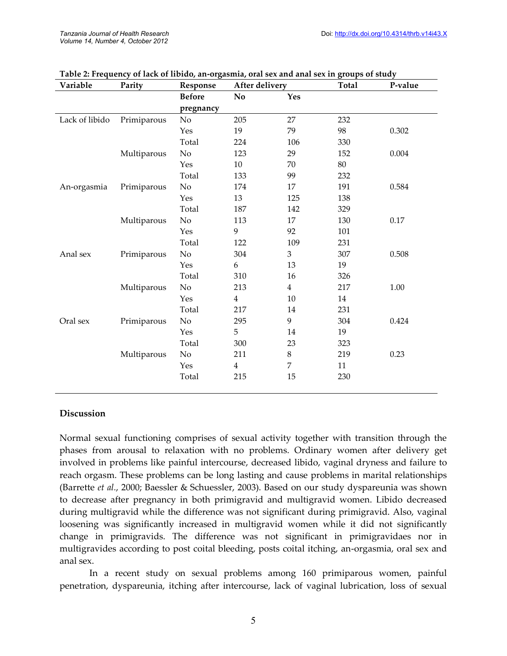| Variable       | Parity      | Response      | After delivery |                | <b>Total</b> | P-value |
|----------------|-------------|---------------|----------------|----------------|--------------|---------|
|                |             | <b>Before</b> | No             | Yes            |              |         |
|                |             | pregnancy     |                |                |              |         |
| Lack of libido | Primiparous | No            | 205            | 27             | 232          |         |
|                |             | Yes           | 19             | 79             | 98           | 0.302   |
|                |             | Total         | 224            | 106            | 330          |         |
|                | Multiparous | $\rm No$      | 123            | 29             | 152          | 0.004   |
|                |             | Yes           | 10             | 70             | 80           |         |
|                |             | Total         | 133            | 99             | 232          |         |
| An-orgasmia    | Primiparous | No            | 174            | 17             | 191          | 0.584   |
|                |             | Yes           | 13             | 125            | 138          |         |
|                |             | Total         | 187            | 142            | 329          |         |
|                | Multiparous | $\rm No$      | 113            | 17             | 130          | 0.17    |
|                |             | Yes           | 9              | 92             | 101          |         |
|                |             | Total         | 122            | 109            | 231          |         |
| Anal sex       | Primiparous | No            | 304            | $\mathfrak{Z}$ | 307          | 0.508   |
|                |             | Yes           | 6              | 13             | 19           |         |
|                |             | Total         | 310            | 16             | 326          |         |
|                | Multiparous | No            | 213            | $\overline{4}$ | 217          | 1.00    |
|                |             | Yes           | $\overline{4}$ | $10\,$         | 14           |         |
|                |             | Total         | 217            | 14             | 231          |         |
| Oral sex       | Primiparous | No            | 295            | 9              | 304          | 0.424   |
|                |             | Yes           | 5              | 14             | 19           |         |
|                |             | Total         | 300            | 23             | 323          |         |
|                | Multiparous | No            | 211            | $\,8\,$        | 219          | 0.23    |
|                |             | Yes           | $\overline{4}$ | $\overline{7}$ | 11           |         |
|                |             | Total         | 215            | 15             | 230          |         |
|                |             |               |                |                |              |         |

#### **Table 2: Frequency of lack of libido, an-orgasmia, oral sex and anal sex in groups of study**

#### **Discussion**

Normal sexual functioning comprises of sexual activity together with transition through the phases from arousal to relaxation with no problems. Ordinary women after delivery get involved in problems like painful intercourse, decreased libido, vaginal dryness and failure to reach orgasm. These problems can be long lasting and cause problems in marital relationships (Barrette *et al.*, 2000; Baessler & Schuessler, 2003). Based on our study dyspareunia was shown to decrease after pregnancy in both primigravid and multigravid women. Libido decreased during multigravid while the difference was not significant during primigravid. Also, vaginal loosening was significantly increased in multigravid women while it did not significantly change in primigravids. The difference was not significant in primigravidaes nor in multigravides according to post coital bleeding, posts coital itching, an-orgasmia, oral sex and anal sex.

In a recent study on sexual problems among 160 primiparous women, painful penetration, dyspareunia, itching after intercourse, lack of vaginal lubrication, loss of sexual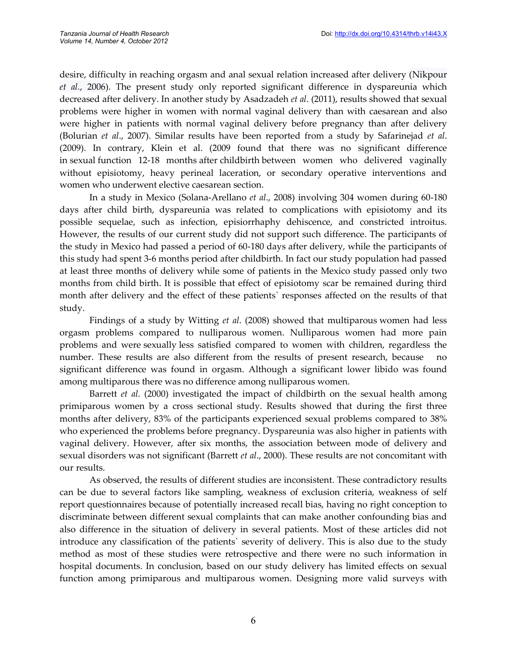desire, difficulty in reaching orgasm and anal sexual relation increased after delivery (Nikpour *et al.*, 2006). The present study only reported significant difference in dyspareunia which decreased after delivery. In another study by Asadzadeh *et al*. (2011), results showed that sexual problems were higher in women with normal vaginal delivery than with caesarean and also were higher in patients with normal vaginal delivery before pregnancy than after delivery (Bolurian *et al*., 2007). Similar results have been reported from a study by Safarinejad *et al*. (2009). In contrary, Klein et al. (2009 found that there was no significant difference in sexual function 12-18 months after childbirth between women who delivered vaginally without episiotomy, heavy perineal laceration, or secondary operative interventions and women who underwent elective caesarean section.

In a study in Mexico (Solana-Arellano *et al*., 2008) involving 304 women during 60-180 days after child birth, dyspareunia was related to complications with episiotomy and its possible sequelae, such as infection, episiorrhaphy dehiscence, and constricted introitus. However, the results of our current study did not support such difference. The participants of the study in Mexico had passed a period of 60-180 days after delivery, while the participants of this study had spent 3-6 months period after childbirth. In fact our study population had passed at least three months of delivery while some of patients in the Mexico study passed only two months from child birth. It is possible that effect of episiotomy scar be remained during third month after delivery and the effect of these patients` responses affected on the results of that study.

Findings of a study by Witting *et al*. (2008) showed that multiparous women had less orgasm problems compared to nulliparous women. Nulliparous women had more pain problems and were sexually less satisfied compared to women with children, regardless the number. These results are also different from the results of present research, because no significant difference was found in orgasm. Although a significant lower libido was found among multiparous there was no difference among nulliparous women.

Barrett *et al*. (2000) investigated the impact of childbirth on the sexual health among primiparous women by a cross sectional study. Results showed that during the first three months after delivery, 83% of the participants experienced sexual problems compared to 38% who experienced the problems before pregnancy. Dyspareunia was also higher in patients with vaginal delivery. However, after six months, the association between mode of delivery and sexual disorders was not significant (Barrett *et al*., 2000). These results are not concomitant with our results.

As observed, the results of different studies are inconsistent. These contradictory results can be due to several factors like sampling, weakness of exclusion criteria, weakness of self report questionnaires because of potentially increased recall bias, having no right conception to discriminate between different sexual complaints that can make another confounding bias and also difference in the situation of delivery in several patients. Most of these articles did not introduce any classification of the patients` severity of delivery. This is also due to the study method as most of these studies were retrospective and there were no such information in hospital documents. In conclusion, based on our study delivery has limited effects on sexual function among primiparous and multiparous women. Designing more valid surveys with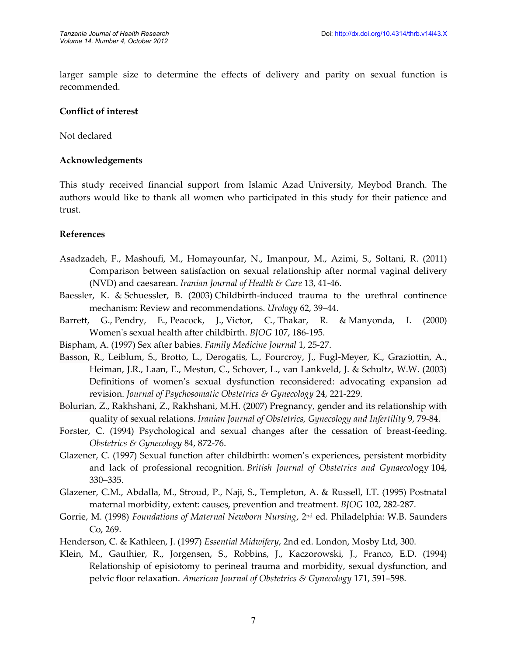larger sample size to determine the effects of delivery and parity on sexual function is recommended.

#### **Conflict of interest**

Not declared

#### **Acknowledgements**

This study received financial support from Islamic Azad University, Meybod Branch. The authors would like to thank all women who participated in this study for their patience and trust.

#### **References**

- Asadzadeh, F., Mashoufi, M., Homayounfar, N., Imanpour, M., Azimi, S., Soltani, R. (2011) Comparison between satisfaction on sexual relationship after normal vaginal delivery (NVD) and caesarean. *Iranian Journal of Health & Care* 13, 41-46.
- Baessler, K. & Schuessler, B. (2003) Childbirth-induced trauma to the urethral continence mechanism: Review and recommendations. *Urology* 62, 39–44.
- Barrett, G., Pendry, E., Peacock, J., Victor, C., Thakar, R. & Manyonda, I. (2000) Women's sexual health after childbirth. *BJOG* 107, 186-195.
- Bispham, A. (1997) Sex after babies. *Family Medicine Journal* 1, 25-27.
- Basson, R., Leiblum, S., Brotto, L., Derogatis, L., Fourcroy, J., Fugl-Meyer, K., Graziottin, A., Heiman, J.R., Laan, E., Meston, C., Schover, L., van Lankveld, J. & Schultz, W.W. (2003) Definitions of women's sexual dysfunction reconsidered: advocating expansion ad revision. *Journal of Psychosomatic Obstetrics & Gynecology* 24, 221-229.
- Bolurian, Z., Rakhshani, Z., Rakhshani, M.H. (2007) Pregnancy, gender and its relationship with quality of sexual relations. *Iranian Journal of Obstetrics, Gynecology and Infertility* 9, 79-84.
- Forster, C. (1994) Psychological and sexual changes after the cessation of breast-feeding. *Obstetrics & Gynecology* 84, 872-76.
- Glazener, C. (1997) Sexual function after childbirth: women's experiences, persistent morbidity and lack of professional recognition. *British Journal of Obstetrics and Gynaecol*ogy 104, 330–335.
- Glazener, C.M., Abdalla, M., Stroud, P., Naji, S., Templeton, A. & Russell, I.T. (1995) Postnatal maternal morbidity, extent: causes, prevention and treatment. *BJOG* 102, 282-287.
- Gorrie, M. (1998) *Foundations of Maternal Newborn Nursing*, 2nd ed. Philadelphia: W.B. Saunders Co, 269.
- Henderson, C. & Kathleen, J. (1997) *Essential Midwifery*, 2nd ed. London, Mosby Ltd, 300.
- Klein, M., Gauthier, R., Jorgensen, S., Robbins, J., Kaczorowski, J., Franco, E.D. (1994) Relationship of episiotomy to perineal trauma and morbidity, sexual dysfunction, and pelvic floor relaxation. *American Journal of Obstetrics & Gynecology* 171, 591–598.